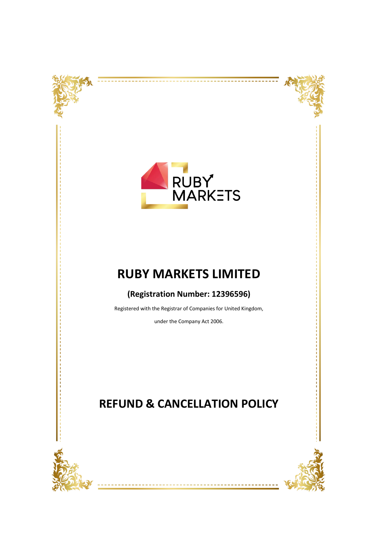



## **RUBY MARKETS LIMITED**

## **(Registration Number: 12396596)**

Registered with the Registrar of Companies for United Kingdom,

under the Company Act 2006.

## **REFUND & CANCELLATION POLICY**